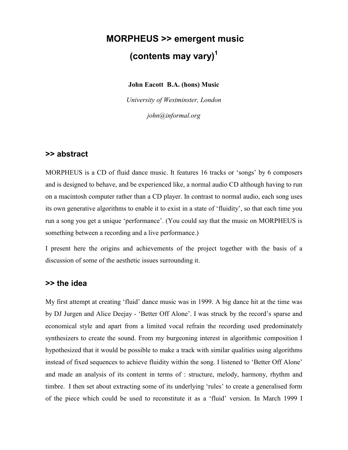# **MORPHEUS >> emergent music (contents may vary)1**

**John Eacott B.A. (hons) Music**

*University of Westminster, London john@informal.org*

# **>> abstract**

MORPHEUS is a CD of fluid dance music. It features 16 tracks or 'songs' by 6 composers and is designed to behave, and be experienced like, a normal audio CD although having to run on a macintosh computer rather than a CD player. In contrast to normal audio, each song uses its own generative algorithms to enable it to exist in a state of 'fluidity', so that each time you run a song you get a unique 'performance'. (You could say that the music on MORPHEUS is something between a recording and a live performance.)

I present here the origins and achievements of the project together with the basis of a discussion of some of the aesthetic issues surrounding it.

# **>> the idea**

My first attempt at creating 'fluid' dance music was in 1999. A big dance hit at the time was by DJ Jurgen and Alice Deejay - 'Better Off Alone'. I was struck by the record's sparse and economical style and apart from a limited vocal refrain the recording used predominately synthesizers to create the sound. From my burgeoning interest in algorithmic composition I hypothesized that it would be possible to make a track with similar qualities using algorithms instead of fixed sequences to achieve fluidity within the song. I listened to 'Better Off Alone' and made an analysis of its content in terms of : structure, melody, harmony, rhythm and timbre. I then set about extracting some of its underlying 'rules' to create a generalised form of the piece which could be used to reconstitute it as a 'fluid' version. In March 1999 I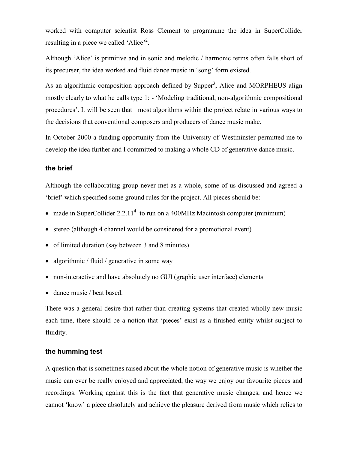worked with computer scientist Ross Clement to programme the idea in SuperCollider resulting in a piece we called 'Alice'<sup>2</sup>.

Although 'Alice' is primitive and in sonic and melodic / harmonic terms often falls short of its precurser, the idea worked and fluid dance music in 'song' form existed.

As an algorithmic composition approach defined by Supper<sup>3</sup>, Alice and MORPHEUS align mostly clearly to what he calls type 1: - 'Modeling traditional, non-algorithmic compositional procedures'. It will be seen that most algorithms within the project relate in various ways to the decisions that conventional composers and producers of dance music make.

In October 2000 a funding opportunity from the University of Westminster permitted me to develop the idea further and I committed to making a whole CD of generative dance music.

# **the brief**

Although the collaborating group never met as a whole, some of us discussed and agreed a 'brief' which specified some ground rules for the project. All pieces should be:

- made in SuperCollider 2.2.11<sup>4</sup> to run on a 400MHz Macintosh computer (minimum)
- stereo (although 4 channel would be considered for a promotional event)
- of limited duration (say between 3 and 8 minutes)
- algorithmic / fluid / generative in some way
- non-interactive and have absolutely no GUI (graphic user interface) elements
- dance music / beat based.

There was a general desire that rather than creating systems that created wholly new music each time, there should be a notion that 'pieces' exist as a finished entity whilst subject to fluidity.

# **the humming test**

A question that is sometimes raised about the whole notion of generative music is whether the music can ever be really enjoyed and appreciated, the way we enjoy our favourite pieces and recordings. Working against this is the fact that generative music changes, and hence we cannot 'know' a piece absolutely and achieve the pleasure derived from music which relies to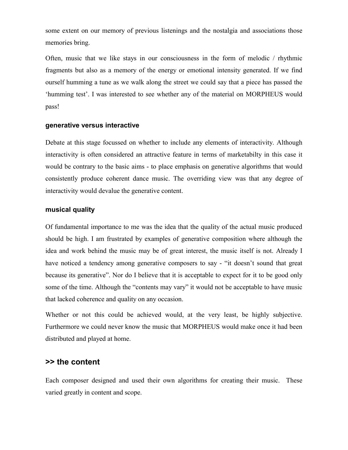some extent on our memory of previous listenings and the nostalgia and associations those memories bring.

Often, music that we like stays in our consciousness in the form of melodic / rhythmic fragments but also as a memory of the energy or emotional intensity generated. If we find ourself humming a tune as we walk along the street we could say that a piece has passed the 'humming test'. I was interested to see whether any of the material on MORPHEUS would pass!

#### **generative versus interactive**

Debate at this stage focussed on whether to include any elements of interactivity. Although interactivity is often considered an attractive feature in terms of marketabilty in this case it would be contrary to the basic aims - to place emphasis on generative algorithms that would consistently produce coherent dance music. The overriding view was that any degree of interactivity would devalue the generative content.

# **musical quality**

Of fundamental importance to me was the idea that the quality of the actual music produced should be high. I am frustrated by examples of generative composition where although the idea and work behind the music may be of great interest, the music itself is not. Already I have noticed a tendency among generative composers to say - "it doesn't sound that great because its generative". Nor do I believe that it is acceptable to expect for it to be good only some of the time. Although the "contents may vary" it would not be acceptable to have music that lacked coherence and quality on any occasion.

Whether or not this could be achieved would, at the very least, be highly subjective. Furthermore we could never know the music that MORPHEUS would make once it had been distributed and played at home.

# **>> the content**

Each composer designed and used their own algorithms for creating their music. These varied greatly in content and scope.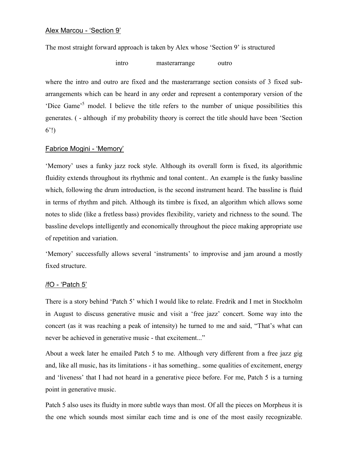The most straight forward approach is taken by Alex whose 'Section 9' is structured

intro masterarrange outro

where the intro and outro are fixed and the masterarrange section consists of 3 fixed subarrangements which can be heard in any order and represent a contemporary version of the 'Dice Game'<sup>5</sup> model. I believe the title refers to the number of unique possibilities this generates. ( - although if my probability theory is correct the title should have been 'Section 6'!)

# Fabrice Mogini - 'Memory'

'Memory' uses a funky jazz rock style. Although its overall form is fixed, its algorithmic fluidity extends throughout its rhythmic and tonal content.. An example is the funky bassline which, following the drum introduction, is the second instrument heard. The bassline is fluid in terms of rhythm and pitch. Although its timbre is fixed, an algorithm which allows some notes to slide (like a fretless bass) provides flexibility, variety and richness to the sound. The bassline develops intelligently and economically throughout the piece making appropriate use of repetition and variation.

'Memory' successfully allows several 'instruments' to improvise and jam around a mostly fixed structure.

# /fO - 'Patch 5'

There is a story behind 'Patch 5' which I would like to relate. Fredrik and I met in Stockholm in August to discuss generative music and visit a 'free jazz' concert. Some way into the concert (as it was reaching a peak of intensity) he turned to me and said, "That's what can never be achieved in generative music - that excitement..."

About a week later he emailed Patch 5 to me. Although very different from a free jazz gig and, like all music, has its limitations - it has something.. some qualities of excitement, energy and 'liveness' that I had not heard in a generative piece before. For me, Patch 5 is a turning point in generative music.

Patch 5 also uses its fluidty in more subtle ways than most. Of all the pieces on Morpheus it is the one which sounds most similar each time and is one of the most easily recognizable.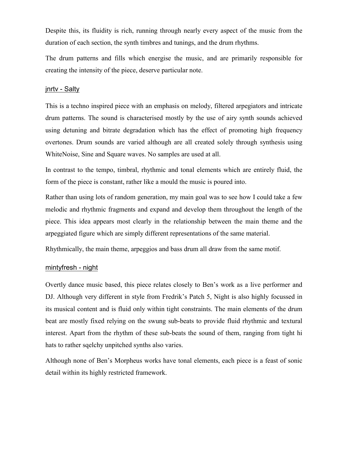Despite this, its fluidity is rich, running through nearly every aspect of the music from the duration of each section, the synth timbres and tunings, and the drum rhythms.

The drum patterns and fills which energise the music, and are primarily responsible for creating the intensity of the piece, deserve particular note.

# jnrtv - Salty

This is a techno inspired piece with an emphasis on melody, filtered arpegiators and intricate drum patterns. The sound is characterised mostly by the use of airy synth sounds achieved using detuning and bitrate degradation which has the effect of promoting high frequency overtones. Drum sounds are varied although are all created solely through synthesis using WhiteNoise, Sine and Square waves. No samples are used at all.

In contrast to the tempo, timbral, rhythmic and tonal elements which are entirely fluid, the form of the piece is constant, rather like a mould the music is poured into.

Rather than using lots of random generation, my main goal was to see how I could take a few melodic and rhythmic fragments and expand and develop them throughout the length of the piece. This idea appears most clearly in the relationship between the main theme and the arpeggiated figure which are simply different representations of the same material.

Rhythmically, the main theme, arpeggios and bass drum all draw from the same motif.

#### mintyfresh - night

Overtly dance music based, this piece relates closely to Ben's work as a live performer and DJ. Although very different in style from Fredrik's Patch 5, Night is also highly focussed in its musical content and is fluid only within tight constraints. The main elements of the drum beat are mostly fixed relying on the swung sub-beats to provide fluid rhythmic and textural interest. Apart from the rhythm of these sub-beats the sound of them, ranging from tight hi hats to rather sqelchy unpitched synths also varies.

Although none of Ben's Morpheus works have tonal elements, each piece is a feast of sonic detail within its highly restricted framework.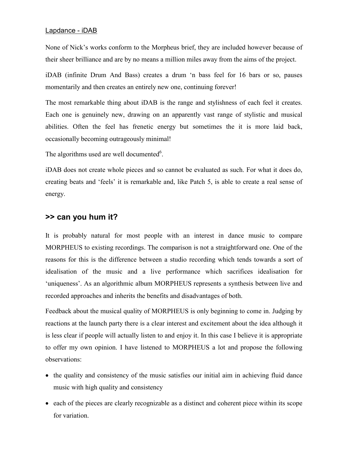# Lapdance - iDAB

None of Nick's works conform to the Morpheus brief, they are included however because of their sheer brilliance and are by no means a million miles away from the aims of the project.

iDAB (infinite Drum And Bass) creates a drum 'n bass feel for 16 bars or so, pauses momentarily and then creates an entirely new one, continuing forever!

The most remarkable thing about iDAB is the range and stylishness of each feel it creates. Each one is genuinely new, drawing on an apparently vast range of stylistic and musical abilities. Often the feel has frenetic energy but sometimes the it is more laid back, occasionally becoming outrageously minimal!

The algorithms used are well documented<sup>6</sup>.

iDAB does not create whole pieces and so cannot be evaluated as such. For what it does do, creating beats and 'feels' it is remarkable and, like Patch 5, is able to create a real sense of energy.

# **>> can you hum it?**

It is probably natural for most people with an interest in dance music to compare MORPHEUS to existing recordings. The comparison is not a straightforward one. One of the reasons for this is the difference between a studio recording which tends towards a sort of idealisation of the music and a live performance which sacrifices idealisation for 'uniqueness'. As an algorithmic album MORPHEUS represents a synthesis between live and recorded approaches and inherits the benefits and disadvantages of both.

Feedback about the musical quality of MORPHEUS is only beginning to come in. Judging by reactions at the launch party there is a clear interest and excitement about the idea although it is less clear if people will actually listen to and enjoy it. In this case I believe it is appropriate to offer my own opinion. I have listened to MORPHEUS a lot and propose the following observations:

- the quality and consistency of the music satisfies our initial aim in achieving fluid dance music with high quality and consistency
- each of the pieces are clearly recognizable as a distinct and coherent piece within its scope for variation.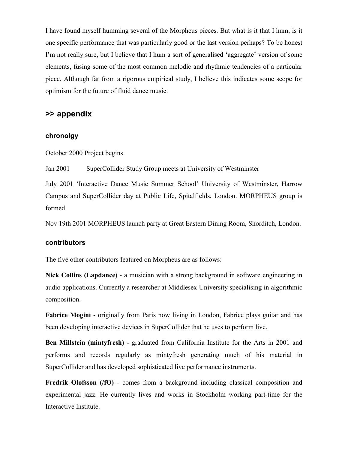I have found myself humming several of the Morpheus pieces. But what is it that I hum, is it one specific performance that was particularly good or the last version perhaps? To be honest I'm not really sure, but I believe that I hum a sort of generalised 'aggregate' version of some elements, fusing some of the most common melodic and rhythmic tendencies of a particular piece. Although far from a rigorous empirical study, I believe this indicates some scope for optimism for the future of fluid dance music.

# **>> appendix**

# **chronolgy**

October 2000 Project begins

Jan 2001 SuperCollider Study Group meets at University of Westminster

July 2001 'Interactive Dance Music Summer School' University of Westminster, Harrow Campus and SuperCollider day at Public Life, Spitalfields, London. MORPHEUS group is formed.

Nov 19th 2001 MORPHEUS launch party at Great Eastern Dining Room, Shorditch, London.

### **contributors**

The five other contributors featured on Morpheus are as follows:

**Nick Collins (Lapdance)** - a musician with a strong background in software engineering in audio applications. Currently a researcher at Middlesex University specialising in algorithmic composition.

**Fabrice Mogini** - originally from Paris now living in London, Fabrice plays guitar and has been developing interactive devices in SuperCollider that he uses to perform live.

**Ben Millstein (mintyfresh)** - graduated from California Institute for the Arts in 2001 and performs and records regularly as mintyfresh generating much of his material in SuperCollider and has developed sophisticated live performance instruments.

**Fredrik Olofsson** (*f*O) - comes from a background including classical composition and experimental jazz. He currently lives and works in Stockholm working part-time for the Interactive Institute.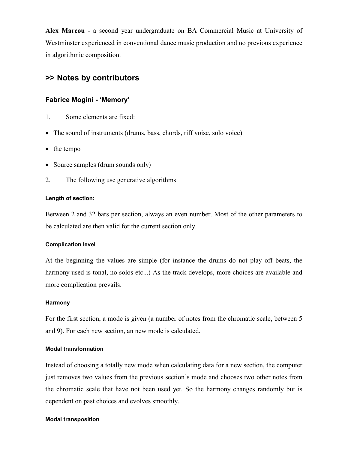**Alex Marcou** - a second year undergraduate on BA Commercial Music at University of Westminster experienced in conventional dance music production and no previous experience in algorithmic composition.

# **>> Notes by contributors**

# **Fabrice Mogini - 'Memory'**

- 1. Some elements are fixed:
- The sound of instruments (drums, bass, chords, riff voise, solo voice)
- the tempo
- Source samples (drum sounds only)
- 2. The following use generative algorithms

### **Length of section:**

Between 2 and 32 bars per section, always an even number. Most of the other parameters to be calculated are then valid for the current section only.

# **Complication level**

At the beginning the values are simple (for instance the drums do not play off beats, the harmony used is tonal, no solos etc...) As the track develops, more choices are available and more complication prevails.

#### **Harmony**

For the first section, a mode is given (a number of notes from the chromatic scale, between 5 and 9). For each new section, an new mode is calculated.

#### **Modal transformation**

Instead of choosing a totally new mode when calculating data for a new section, the computer just removes two values from the previous section's mode and chooses two other notes from the chromatic scale that have not been used yet. So the harmony changes randomly but is dependent on past choices and evolves smoothly.

#### **Modal transposition**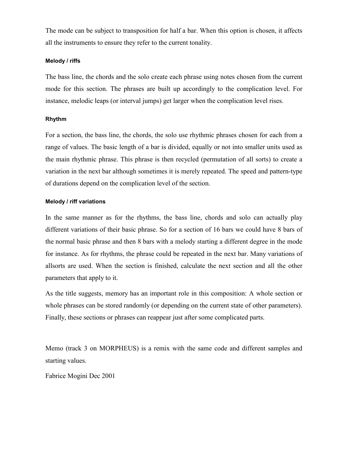The mode can be subject to transposition for half a bar. When this option is chosen, it affects all the instruments to ensure they refer to the current tonality.

#### **Melody / riffs**

The bass line, the chords and the solo create each phrase using notes chosen from the current mode for this section. The phrases are built up accordingly to the complication level. For instance, melodic leaps (or interval jumps) get larger when the complication level rises.

### **Rhythm**

For a section, the bass line, the chords, the solo use rhythmic phrases chosen for each from a range of values. The basic length of a bar is divided, equally or not into smaller units used as the main rhythmic phrase. This phrase is then recycled (permutation of all sorts) to create a variation in the next bar although sometimes it is merely repeated. The speed and pattern-type of durations depend on the complication level of the section.

### **Melody / riff variations**

In the same manner as for the rhythms, the bass line, chords and solo can actually play different variations of their basic phrase. So for a section of 16 bars we could have 8 bars of the normal basic phrase and then 8 bars with a melody starting a different degree in the mode for instance. As for rhythms, the phrase could be repeated in the next bar. Many variations of allsorts are used. When the section is finished, calculate the next section and all the other parameters that apply to it.

As the title suggests, memory has an important role in this composition: A whole section or whole phrases can be stored randomly (or depending on the current state of other parameters). Finally, these sections or phrases can reappear just after some complicated parts.

Memo (track 3 on MORPHEUS) is a remix with the same code and different samples and starting values.

Fabrice Mogini Dec 2001